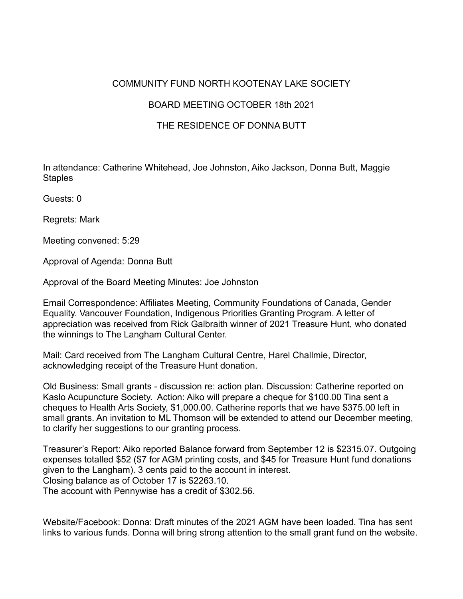## COMMUNITY FUND NORTH KOOTENAY LAKE SOCIETY

## BOARD MEETING OCTOBER 18th 2021

## THE RESIDENCE OF DONNA BUTT

In attendance: Catherine Whitehead, Joe Johnston, Aiko Jackson, Donna Butt, Maggie **Staples** 

Guests: 0

Regrets: Mark

Meeting convened: 5:29

Approval of Agenda: Donna Butt

Approval of the Board Meeting Minutes: Joe Johnston

Email Correspondence: Affiliates Meeting, Community Foundations of Canada, Gender Equality. Vancouver Foundation, Indigenous Priorities Granting Program. A letter of appreciation was received from Rick Galbraith winner of 2021 Treasure Hunt, who donated the winnings to The Langham Cultural Center.

Mail: Card received from The Langham Cultural Centre, Harel Challmie, Director, acknowledging receipt of the Treasure Hunt donation.

Old Business: Small grants - discussion re: action plan. Discussion: Catherine reported on Kaslo Acupuncture Society. Action: Aiko will prepare a cheque for \$100.00 Tina sent a cheques to Health Arts Society, \$1,000.00. Catherine reports that we have \$375.00 left in small grants. An invitation to ML Thomson will be extended to attend our December meeting, to clarify her suggestions to our granting process.

Treasurer's Report: Aiko reported Balance forward from September 12 is \$2315.07. Outgoing expenses totalled \$52 (\$7 for AGM printing costs, and \$45 for Treasure Hunt fund donations given to the Langham). 3 cents paid to the account in interest. Closing balance as of October 17 is \$2263.10. The account with Pennywise has a credit of \$302.56.

Website/Facebook: Donna: Draft minutes of the 2021 AGM have been loaded. Tina has sent links to various funds. Donna will bring strong attention to the small grant fund on the website.